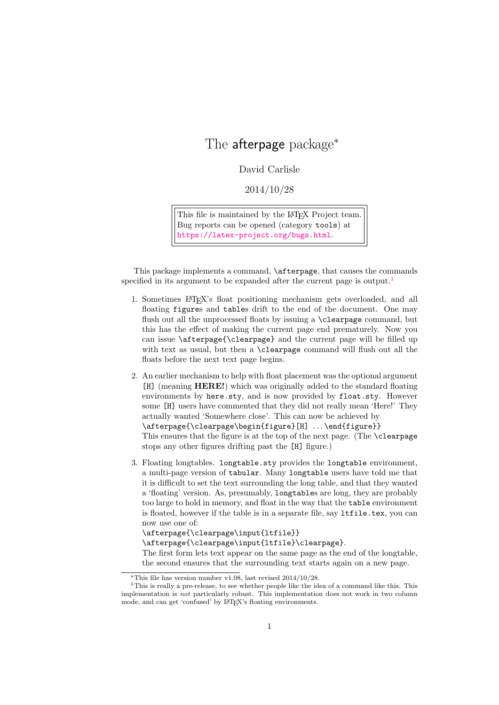# The afterpage package<sup>∗</sup>

David Carlisle

2014/10/28

This file is maintained by the L<sup>AT</sup>EX Project team. Bug reports can be opened (category tools) at <https://latex-project.org/bugs.html>.

This package implements a command, \afterpage, that causes the commands specified in its argument to be expanded after the current page is output.<sup>[1](#page-0-0)</sup>

- 1. Sometimes LATEX's float positioning mechanism gets overloaded, and all floating figures and tables drift to the end of the document. One may flush out all the unprocessed floats by issuing a \clearpage command, but this has the effect of making the current page end prematurely. Now you can issue \afterpage{\clearpage} and the current page will be filled up with text as usual, but then a \clearpage command will flush out all the floats before the next text page begins.
- 2. An earlier mechanism to help with float placement was the optional argument [H] (meaning HERE!) which was originally added to the standard floating environments by here.sty, and is now provided by float.sty. However some [H] users have commented that they did not really mean 'Here!' They actually wanted 'Somewhere close'. This can now be achieved by \afterpage{\clearpage\begin{figure}[H] . . . \end{figure}} This ensures that the figure is at the top of the next page. (The \clearpage stops any other figures drifting past the [H] figure.)
- 3. Floating longtables. longtable.sty provides the longtable environment, a multi-page version of tabular. Many longtable users have told me that it is difficult to set the text surrounding the long table, and that they wanted a 'floating' version. As, presumably, longtables are long, they are probably too large to hold in memory, and float in the way that the table environment is floated, however if the table is in a separate file, say ltfile.tex, you can now use one of:

\afterpage{\clearpage\input{ltfile}}

\afterpage{\clearpage\input{ltfile}\clearpage}.

The first form lets text appear on the same page as the end of the longtable, the second ensures that the surrounding text starts again on a new page.

<span id="page-0-0"></span><sup>∗</sup>This file has version number v1.08, last revised 2014/10/28.

<sup>&</sup>lt;sup>1</sup>This is really a pre-release, to see whether people like the idea of a command like this. This implementation is not particularly robust. This implementation does not work in two column mode, and can get 'confused' by LATEX's floating environments.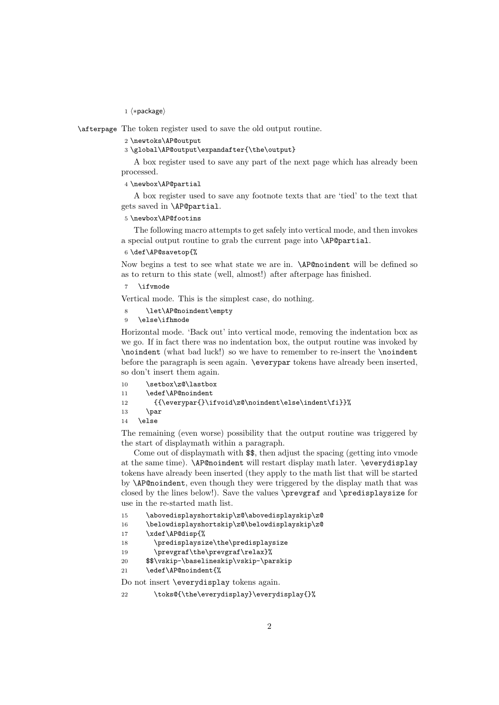1 ⟨∗package⟩

\afterpage The token register used to save the old output routine.

### 2 \newtoks\AP@output

3 \global\AP@output\expandafter{\the\output}

A box register used to save any part of the next page which has already been processed.

4 \newbox\AP@partial

A box register used to save any footnote texts that are 'tied' to the text that gets saved in \AP@partial.

### 5 \newbox\AP@footins

The following macro attempts to get safely into vertical mode, and then invokes a special output routine to grab the current page into \AP@partial.

6 \def\AP@savetop{%

Now begins a test to see what state we are in. \AP@noindent will be defined so as to return to this state (well, almost!) after afterpage has finished.

\ifvmode

Vertical mode. This is the simplest case, do nothing.

8 \let\AP@noindent\empty

9 \else\ifhmode

Horizontal mode. 'Back out' into vertical mode, removing the indentation box as we go. If in fact there was no indentation box, the output routine was invoked by \noindent (what bad luck!) so we have to remember to re-insert the \noindent before the paragraph is seen again. \everypar tokens have already been inserted, so don't insert them again.

| 10 | \setbox\z@\lastbox                                     |
|----|--------------------------------------------------------|
| 11 | \edef\AP@noindent                                      |
| 12 | ${\overparent}\right\z0\noindent\else\label{thm:main}$ |
| 13 | \par                                                   |
| 14 | <b>A</b> alse                                          |

The remaining (even worse) possibility that the output routine was triggered by the start of displaymath within a paragraph.

Come out of displaymath with \$\$, then adjust the spacing (getting into vmode at the same time). \AP@noindent will restart display math later. \everydisplay tokens have already been inserted (they apply to the math list that will be started by \AP@noindent, even though they were triggered by the display math that was closed by the lines below!). Save the values \prevgraf and \predisplaysize for use in the re-started math list.

```
15 \abovedisplayshortskip\z@\abovedisplayskip\z@
```
16 \belowdisplayshortskip\z@\belowdisplayskip\z@

17 \xdef\AP@disp{%

18 \predisplaysize\the\predisplaysize

- 19 \prevgraf\the\prevgraf\relax}%
- 20 \$\$\vskip-\baselineskip\vskip-\parskip
- 21 \edef\AP@noindent{%

Do not insert \everydisplay tokens again.

22 \toks@{\the\everydisplay}\everydisplay{}%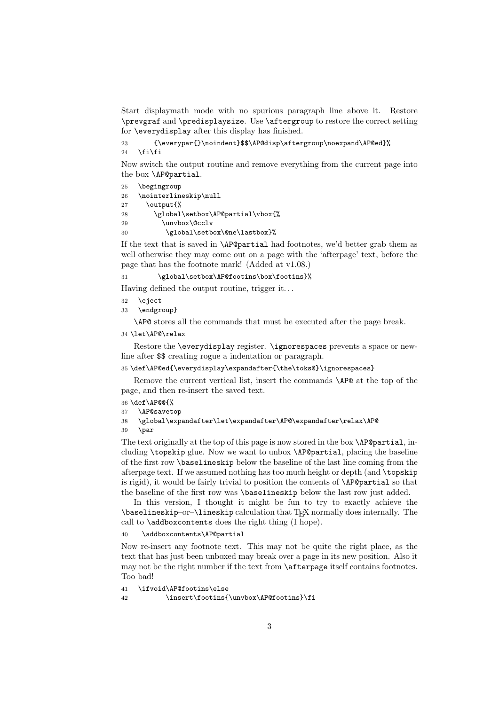Start displaymath mode with no spurious paragraph line above it. Restore \prevgraf and \predisplaysize. Use \aftergroup to restore the correct setting for \everydisplay after this display has finished.

```
23 {\everypar{}\noindent}$$\AP@disp\aftergroup\noexpand\AP@ed}%
```
24  $\tilde{i}$ 

Now switch the output routine and remove everything from the current page into the box \AP@partial.

- 25 \begingroup
- 26 \nointerlineskip\null
- 27 \output{%
- 28 \global\setbox\AP@partial\vbox{%
- 29 \unvbox\@cclv
- 30 \global\setbox\@ne\lastbox}%

If the text that is saved in \AP@partial had footnotes, we'd better grab them as well otherwise they may come out on a page with the 'afterpage' text, before the page that has the footnote mark! (Added at v1.08.)

31 \global\setbox\AP@footins\box\footins}%

Having defined the output routine, trigger it. . .

- 32 \eject
- 33 \endgroup}

\AP@ stores all the commands that must be executed after the page break.

34 \let\AP@\relax

Restore the \everydisplay register. \ignorespaces prevents a space or newline after \$\$ creating rogue a indentation or paragraph.

35 \def\AP@ed{\everydisplay\expandafter{\the\toks@}\ignorespaces}

Remove the current vertical list, insert the commands \AP@ at the top of the page, and then re-insert the saved text.

- 36 \def\AP@@{%
- 37 \AP@savetop
- 38 \global\expandafter\let\expandafter\AP@\expandafter\relax\AP@
- $39$  \par

The text originally at the top of this page is now stored in the box  $\AP$  partial, including \topskip glue. Now we want to unbox \AP@partial, placing the baseline of the first row \baselineskip below the baseline of the last line coming from the afterpage text. If we assumed nothing has too much height or depth (and \topskip is rigid), it would be fairly trivial to position the contents of \AP@partial so that the baseline of the first row was \baselineskip below the last row just added.

In this version, I thought it might be fun to try to exactly achieve the \baselineskip–or–\lineskip calculation that TEX normally does internally. The call to \addboxcontents does the right thing (I hope).

### 40 \addboxcontents\AP@partial

Now re-insert any footnote text. This may not be quite the right place, as the text that has just been unboxed may break over a page in its new position. Also it may not be the right number if the text from \afterpage itself contains footnotes. Too bad!

```
41 \ifvoid\AP@footins\else
```
42 \insert\footins{\unvbox\AP@footins}\fi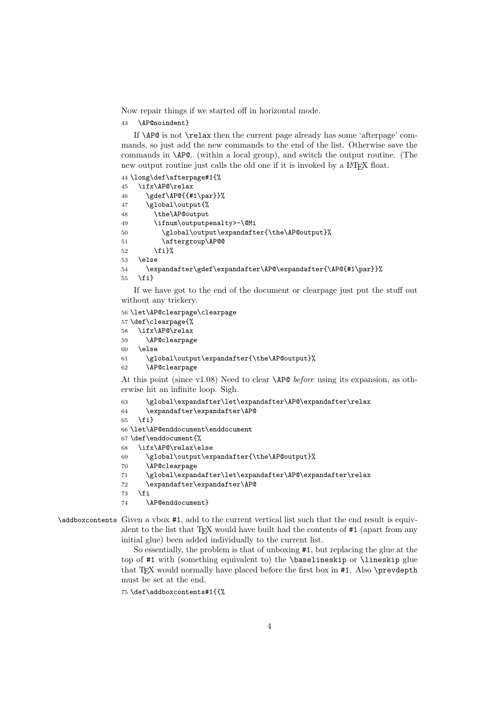Now repair things if we started off in horizontal mode.

\AP@noindent}

If \AP@ is not \relax then the current page already has some 'afterpage' commands, so just add the new commands to the end of the list. Otherwise save the commands in \AP@. (within a local group), and switch the output routine. (The new output routine just calls the old one if it is invoked by a LAT<sub>EX</sub> float.

```
44 \long\def\afterpage#1{%
45 \ifx\AP@\relax
46 \gdef\AP@{{#1\par}}%
47 \global\output{%
48 \the\AP@output
49 \ifnum\outputpenalty>-\@Mi
50 \global\output\expandafter{\the\AP@output}%
51 \aftergroup\AP@@
52 \{f_i\}%
53 \else
54 \expandafter\gdef\expandafter\AP@\expandafter{\AP@{#1\par}}%
55 \fi}
```
If we have got to the end of the document or clearpage just put the stuff out without any trickery.

```
56 \let\AP@clearpage\clearpage
57 \def\clearpage{%
58 \ifx\AP@\relax
59 \AP@clearpage
```

```
60 \else
```

```
61 \global\output\expandafter{\the\AP@output}%
```

```
62 \AP@clearpage
```
At this point (since v1.08) Need to clear  $\Delta P\& before$  using its expansion, as otherwise hit an infinite loop. Sigh.

```
63 \global\expandafter\let\expandafter\AP@\expandafter\relax
```

```
64 \expandafter\expandafter\AP@
```

```
65 \fi}
```
\let\AP@enddocument\enddocument

```
67 \def\enddocument{%
```

```
68 \ifx\AP@\relax\else
```

```
69 \global\output\expandafter{\the\AP@output}%
```

```
70 \AP@clearpage
```

```
71 \global\expandafter\let\expandafter\AP@\expandafter\relax
```
\expandafter\expandafter\AP@

```
73 \foralli
```

```
74 \AP@enddocument}
```
## \addboxcontents Given a vbox #1, add to the current vertical list such that the end result is equivalent to the list that  $T_{F}X$  would have built had the contents of  $\#1$  (apart from any initial glue) been added individually to the current list.

So essentially, the problem is that of unboxing #1, but replacing the glue at the top of #1 with (something equivalent to) the \baselineskip or \lineskip glue that T<sub>E</sub>X would normally have placed before the first box in #1. Also \prevdepth must be set at the end.

```
75 \def\addboxcontents#1{{%
```